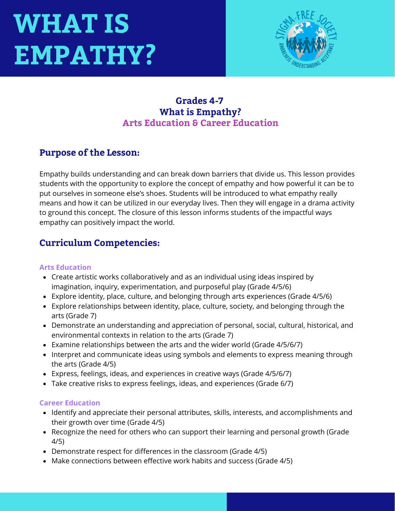# **WHAT IS EMPATHY?**



## **Grades 4-7 What is Empathy? Arts Education & Career Education**

## **Purpose of the Lesson:**

Empathy builds understanding and can break down barriers that divide us. This lesson provides students with the opportunity to explore the concept of empathy and how powerful it can be to put ourselves in someone else's shoes. Students will be introduced to what empathy really means and how it can be utilized in our everyday lives. Then they will engage in a drama activity to ground this concept. The closure of this lesson informs students of the impactful ways empathy can positively impact the world.

## **Curriculum Competencies:**

#### **Arts Education**

- Create artistic works collaboratively and as an individual using ideas inspired by imagination, inquiry, experimentation, and purposeful play (Grade 4/5/6)
- Explore identity, place, culture, and belonging through arts experiences (Grade 4/5/6)
- Explore relationships between identity, place, culture, society, and belonging through the arts (Grade 7)
- Demonstrate an understanding and appreciation of personal, social, cultural, historical, and environmental contexts in relation to the arts (Grade 7)
- Examine relationships between the arts and the wider world (Grade 4/5/6/7)
- Interpret and communicate ideas using symbols and elements to express meaning through the arts (Grade 4/5)
- Express, feelings, ideas, and experiences in creative ways (Grade 4/5/6/7)
- Take creative risks to express feelings, ideas, and experiences (Grade 6/7)

#### **Career Education**

- Identify and appreciate their personal attributes, skills, interests, and accomplishments and their growth over time (Grade 4/5)
- Recognize the need for others who can support their learning and personal growth (Grade 4/5)
- Demonstrate respect for differences in the classroom (Grade 4/5)
- Make connections between effective work habits and success (Grade 4/5)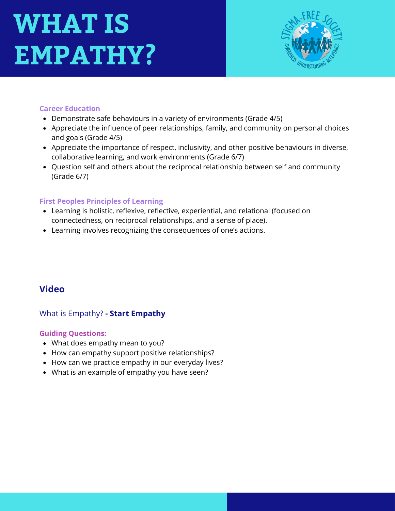# **WHAT IS EMPATHY?**



#### **Career Education**

- Demonstrate safe behaviours in a variety of environments (Grade 4/5)
- Appreciate the influence of peer relationships, family, and community on personal choices and goals (Grade 4/5)
- Appreciate the importance of respect, inclusivity, and other positive behaviours in diverse, collaborative learning, and work environments (Grade 6/7)
- Question self and others about the reciprocal relationship between self and community (Grade 6/7)

### **First Peoples Principles of Learning**

- Learning is holistic, reflexive, reflective, experiential, and relational (focused on connectedness, on reciprocal relationships, and a sense of place).
- Learning involves recognizing the consequences of one's actions.

### **Video**

### [What is Empathy?](https://www.youtube.com/watch?v=icIlUdTEQnU) **- Start Empathy**

#### **Guiding Questions:**

- What does empathy mean to you?
- How can empathy support positive relationships?
- How can we practice empathy in our everyday lives?
- What is an example of empathy you have seen?